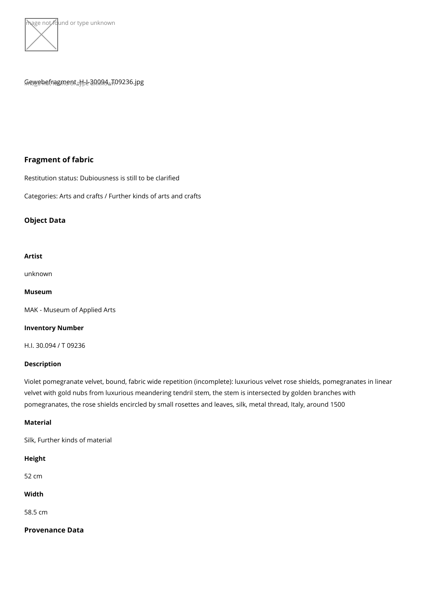

## $G_{\text{in}}$ Pawebefragument\_H<sub>D</sub>e 300094 $\text{Aut}$ 09236.jpg

# Fragment of fabric

Restitution status: Dubiousness is still to be clarified

Categories: Arts and crafts / Further kinds of arts and crafts

Object Data

Artist

[unkno](https://www.kunstdatenbank.at/search-for-objects/artist/unknown)wn

Museum

[MAK - Museum of Ap](https://www.kunstdatenbank.at//detail-view-museum/mak-museum-of-applied-arts.html)plied Arts

Inventory Number

H.I. 30.094 / T 09236

Description

Violet pomegranate velvet, bound, fabric wide repetition (incomplete): luxurious velvet velvet with gold nubs from luxurious meandering tendril stem, the stem is intersected b pomegranates, the rose shields encircled by small rosettes and leaves, silk, metal thre

Material

Silk, Further kinds of material

Height

52 cm

Width

58.5 cm

Provenance Data